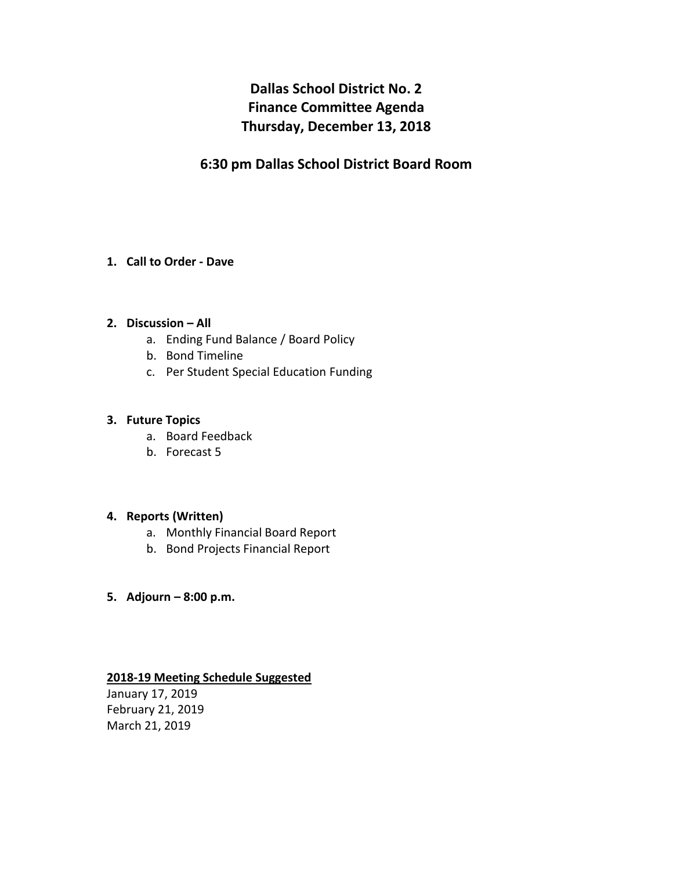# **Dallas School District No. 2 Finance Committee Agenda Thursday, December 13, 2018**

# **6:30 pm Dallas School District Board Room**

### **1. Call to Order - Dave**

### **2. Discussion – All**

- a. Ending Fund Balance / Board Policy
- b. Bond Timeline
- c. Per Student Special Education Funding

#### **3. Future Topics**

- a. Board Feedback
- b. Forecast 5

#### **4. Reports (Written)**

- a. Monthly Financial Board Report
- b. Bond Projects Financial Report
- **5. Adjourn – 8:00 p.m.**

## **2018-19 Meeting Schedule Suggested**

January 17, 2019 February 21, 2019 March 21, 2019